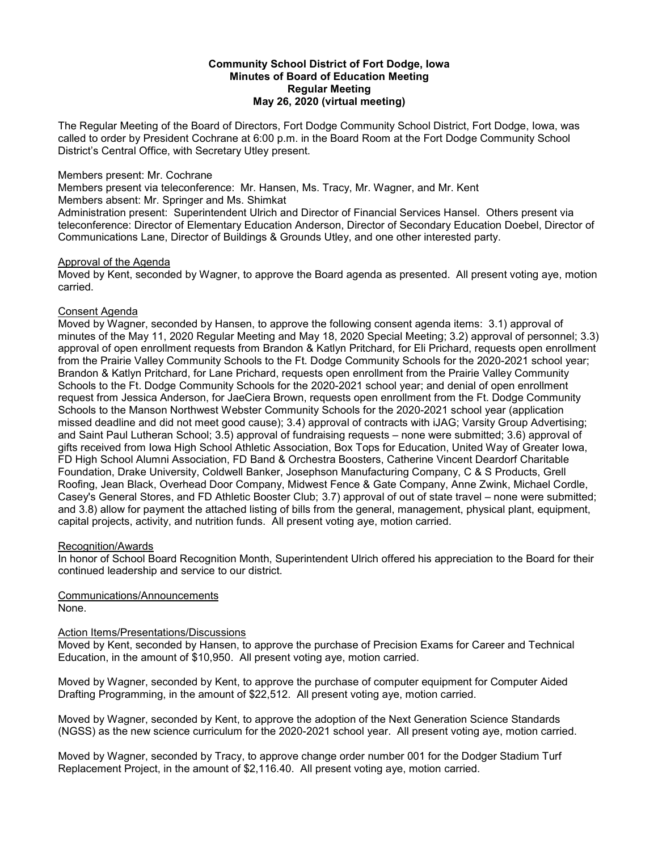#### **Community School District of Fort Dodge, Iowa Minutes of Board of Education Meeting Regular Meeting May 26, 2020 (virtual meeting)**

The Regular Meeting of the Board of Directors, Fort Dodge Community School District, Fort Dodge, Iowa, was called to order by President Cochrane at 6:00 p.m. in the Board Room at the Fort Dodge Community School District's Central Office, with Secretary Utley present.

### Members present: Mr. Cochrane

Members present via teleconference: Mr. Hansen, Ms. Tracy, Mr. Wagner, and Mr. Kent

Members absent: Mr. Springer and Ms. Shimkat

Administration present: Superintendent Ulrich and Director of Financial Services Hansel. Others present via teleconference: Director of Elementary Education Anderson, Director of Secondary Education Doebel, Director of Communications Lane, Director of Buildings & Grounds Utley, and one other interested party.

# Approval of the Agenda

Moved by Kent, seconded by Wagner, to approve the Board agenda as presented. All present voting aye, motion carried.

## Consent Agenda

Moved by Wagner, seconded by Hansen, to approve the following consent agenda items: 3.1) approval of minutes of the May 11, 2020 Regular Meeting and May 18, 2020 Special Meeting; 3.2) approval of personnel; 3.3) approval of open enrollment requests from Brandon & Katlyn Pritchard, for Eli Prichard, requests open enrollment from the Prairie Valley Community Schools to the Ft. Dodge Community Schools for the 2020-2021 school year; Brandon & Katlyn Pritchard, for Lane Prichard, requests open enrollment from the Prairie Valley Community Schools to the Ft. Dodge Community Schools for the 2020-2021 school year; and denial of open enrollment request from Jessica Anderson, for JaeCiera Brown, requests open enrollment from the Ft. Dodge Community Schools to the Manson Northwest Webster Community Schools for the 2020-2021 school year (application missed deadline and did not meet good cause); 3.4) approval of contracts with iJAG; Varsity Group Advertising; and Saint Paul Lutheran School; 3.5) approval of fundraising requests – none were submitted; 3.6) approval of gifts received from Iowa High School Athletic Association, Box Tops for Education, United Way of Greater Iowa, FD High School Alumni Association, FD Band & Orchestra Boosters, Catherine Vincent Deardorf Charitable Foundation, Drake University, Coldwell Banker, Josephson Manufacturing Company, C & S Products, Grell Roofing, Jean Black, Overhead Door Company, Midwest Fence & Gate Company, Anne Zwink, Michael Cordle, Casey's General Stores, and FD Athletic Booster Club; 3.7) approval of out of state travel – none were submitted; and 3.8) allow for payment the attached listing of bills from the general, management, physical plant, equipment, capital projects, activity, and nutrition funds. All present voting aye, motion carried.

## Recognition/Awards

In honor of School Board Recognition Month, Superintendent Ulrich offered his appreciation to the Board for their continued leadership and service to our district.

Communications/Announcements None.

## Action Items/Presentations/Discussions

Moved by Kent, seconded by Hansen, to approve the purchase of Precision Exams for Career and Technical Education, in the amount of \$10,950. All present voting aye, motion carried.

Moved by Wagner, seconded by Kent, to approve the purchase of computer equipment for Computer Aided Drafting Programming, in the amount of \$22,512. All present voting aye, motion carried.

Moved by Wagner, seconded by Kent, to approve the adoption of the Next Generation Science Standards (NGSS) as the new science curriculum for the 2020-2021 school year. All present voting aye, motion carried.

Moved by Wagner, seconded by Tracy, to approve change order number 001 for the Dodger Stadium Turf Replacement Project, in the amount of \$2,116.40. All present voting aye, motion carried.